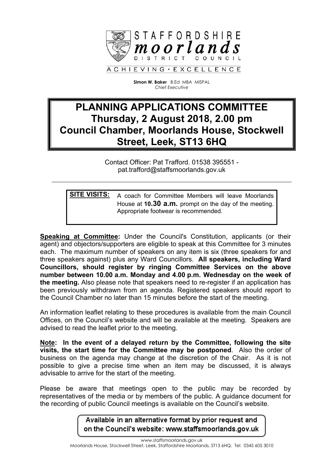

**Simon W. Baker** B.Ed MBA MISPAL *Chief Executive*

# **PLANNING APPLICATIONS COMMITTEE Thursday, 2 August 2018, 2.00 pm Council Chamber, Moorlands House, Stockwell Street, Leek, ST13 6HQ**

Contact Officer: Pat Trafford. 01538 395551 pat.trafford@staffsmoorlands.gov.uk

**SITE VISITS:** A coach for Committee Members will leave Moorlands House at **10.30 a.m.** prompt on the day of the meeting. Appropriate footwear is recommended.

**Speaking at Committee:** Under the Council's Constitution, applicants (or their agent) and objectors/supporters are eligible to speak at this Committee for 3 minutes each. The maximum number of speakers on any item is six (three speakers for and three speakers against) plus any Ward Councillors. **All speakers, including Ward Councillors, should register by ringing Committee Services on the above number between 10.00 a.m. Monday and 4.00 p.m. Wednesday on the week of the meeting.** Also please note that speakers need to re-register if an application has been previously withdrawn from an agenda. Registered speakers should report to the Council Chamber no later than 15 minutes before the start of the meeting.

An information leaflet relating to these procedures is available from the main Council Offices, on the Council's website and will be available at the meeting. Speakers are advised to read the leaflet prior to the meeting.

**Note: In the event of a delayed return by the Committee, following the site visits, the start time for the Committee may be postponed**. Also the order of business on the agenda may change at the discretion of the Chair. As it is not possible to give a precise time when an item may be discussed, it is always advisable to arrive for the start of the meeting.

Please be aware that meetings open to the public may be recorded by representatives of the media or by members of the public. A guidance document for the recording of public Council meetings is available on the Council's website.

> Available in an alternative format by prior request and on the Council's website: www.staffsmoorlands.gov.uk

> > www.staffsmoorlands.gov.uk

Moorlands House, Stockwell Street, Leek, Staffordshire Moorlands, ST13 6HQ. Tel: 0345 605 3010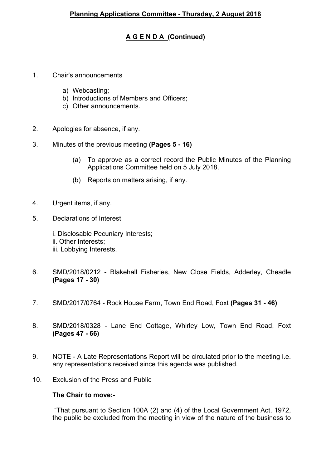## **A G E N D A (Continued)**

- 1. Chair's announcements
	- a) Webcasting;
	- b) Introductions of Members and Officers;
	- c) Other announcements.
- 2. Apologies for absence, if any.
- 3. Minutes of the previous meeting **(Pages 5 - 16)**
	- (a) To approve as a correct record the Public Minutes of the Planning Applications Committee held on 5 July 2018.
	- (b) Reports on matters arising, if any.
- 4. Urgent items, if any.
- 5. Declarations of Interest
	- i. Disclosable Pecuniary Interests; ii. Other Interests; iii. Lobbying Interests.
- 6. SMD/2018/0212 Blakehall Fisheries, New Close Fields, Adderley, Cheadle **(Pages 17 - 30)**
- 7. SMD/2017/0764 Rock House Farm, Town End Road, Foxt **(Pages 31 - 46)**
- 8. SMD/2018/0328 Lane End Cottage, Whirley Low, Town End Road, Foxt **(Pages 47 - 66)**
- 9. NOTE A Late Representations Report will be circulated prior to the meeting i.e. any representations received since this agenda was published.
- 10. Exclusion of the Press and Public

### **The Chair to move:-**

"That pursuant to Section 100A (2) and (4) of the Local Government Act, 1972, the public be excluded from the meeting in view of the nature of the business to